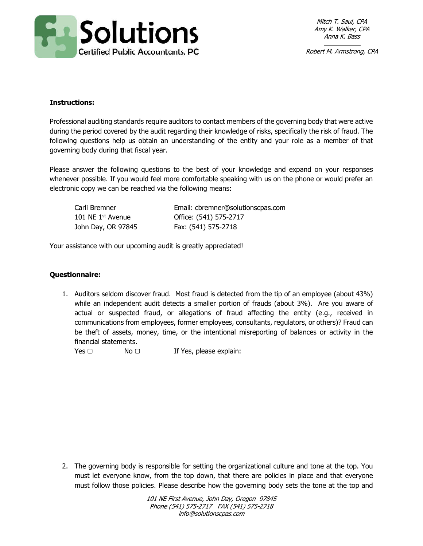

Mitch T. Saul, CPA Amy K. Walker, CPA Anna K. Bass

Robert M. Armstrong, CPA

## **Instructions:**

Professional auditing standards require auditors to contact members of the governing body that were active during the period covered by the audit regarding their knowledge of risks, specifically the risk of fraud. The following questions help us obtain an understanding of the entity and your role as a member of that governing body during that fiscal year.

Please answer the following questions to the best of your knowledge and expand on your responses whenever possible. If you would feel more comfortable speaking with us on the phone or would prefer an electronic copy we can be reached via the following means:

| Carli Bremner       | Email: cbremner@solutionscpas.com |
|---------------------|-----------------------------------|
| 101 NE $1st$ Avenue | Office: (541) 575-2717            |
| John Day, OR 97845  | Fax: (541) 575-2718               |

Your assistance with our upcoming audit is greatly appreciated!

## **Questionnaire:**

1. Auditors seldom discover fraud. Most fraud is detected from the tip of an employee (about 43%) while an independent audit detects a smaller portion of frauds (about 3%). Are you aware of actual or suspected fraud, or allegations of fraud affecting the entity (e.g., received in communications from employees, former employees, consultants, regulators, or others)? Fraud can be theft of assets, money, time, or the intentional misreporting of balances or activity in the financial statements.

 $Yes \n\Box$  No  $\Box$  If Yes, please explain:

2. The governing body is responsible for setting the organizational culture and tone at the top. You must let everyone know, from the top down, that there are policies in place and that everyone must follow those policies. Please describe how the governing body sets the tone at the top and

> 101 NE First Avenue, John Day, Oregon 97845 Phone (541) 575-2717 FAX (541) 575-2718 info@solutionscpas.com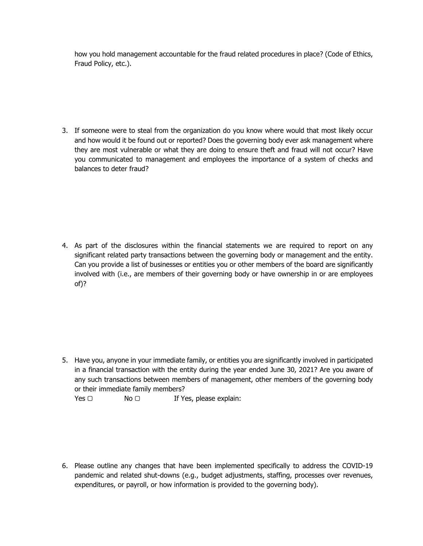how you hold management accountable for the fraud related procedures in place? (Code of Ethics, Fraud Policy, etc.).

3. If someone were to steal from the organization do you know where would that most likely occur and how would it be found out or reported? Does the governing body ever ask management where they are most vulnerable or what they are doing to ensure theft and fraud will not occur? Have you communicated to management and employees the importance of a system of checks and balances to deter fraud?

4. As part of the disclosures within the financial statements we are required to report on any significant related party transactions between the governing body or management and the entity. Can you provide a list of businesses or entities you or other members of the board are significantly involved with (i.e., are members of their governing body or have ownership in or are employees of)?

5. Have you, anyone in your immediate family, or entities you are significantly involved in participated in a financial transaction with the entity during the year ended June 30, 2021? Are you aware of any such transactions between members of management, other members of the governing body or their immediate family members?

Yes □ No □ If Yes, please explain:

6. Please outline any changes that have been implemented specifically to address the COVID-19 pandemic and related shut-downs (e.g., budget adjustments, staffing, processes over revenues, expenditures, or payroll, or how information is provided to the governing body).